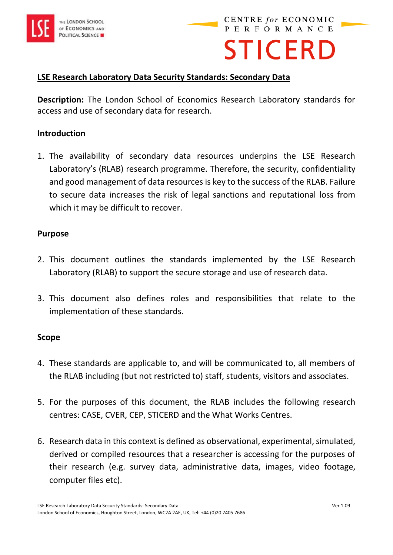

# **STICERD**

## **LSE Research Laboratory Data Security Standards: Secondary Data**

**Description:** The London School of Economics Research Laboratory standards for access and use of secondary data for research.

#### **Introduction**

1. The availability of secondary data resources underpins the LSE Research Laboratory's (RLAB) research programme. Therefore, the security, confidentiality and good management of data resources is key to the success of the RLAB. Failure to secure data increases the risk of legal sanctions and reputational loss from which it may be difficult to recover.

#### **Purpose**

- 2. This document outlines the standards implemented by the LSE Research Laboratory (RLAB) to support the secure storage and use of research data.
- 3. This document also defines roles and responsibilities that relate to the implementation of these standards.

#### **Scope**

- 4. These standards are applicable to, and will be communicated to, all members of the RLAB including (but not restricted to) staff, students, visitors and associates.
- 5. For the purposes of this document, the RLAB includes the following research centres: CASE, CVER, CEP, STICERD and the What Works Centres.
- 6. Research data in this context is defined as observational, experimental, simulated, derived or compiled resources that a researcher is accessing for the purposes of their research (e.g. survey data, administrative data, images, video footage, computer files etc).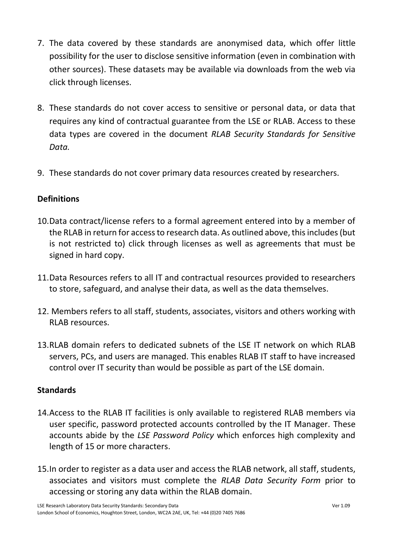- 7. The data covered by these standards are anonymised data, which offer little possibility for the user to disclose sensitive information (even in combination with other sources). These datasets may be available via downloads from the web via click through licenses.
- 8. These standards do not cover access to sensitive or personal data, or data that requires any kind of contractual guarantee from the LSE or RLAB. Access to these data types are covered in the document *RLAB Security Standards for Sensitive Data.*
- 9. These standards do not cover primary data resources created by researchers.

# **Definitions**

- 10.Data contract/license refers to a formal agreement entered into by a member of the RLAB in return for access to research data. As outlined above, this includes (but is not restricted to) click through licenses as well as agreements that must be signed in hard copy.
- 11.Data Resources refers to all IT and contractual resources provided to researchers to store, safeguard, and analyse their data, as well as the data themselves.
- 12. Members refers to all staff, students, associates, visitors and others working with RLAB resources.
- 13.RLAB domain refers to dedicated subnets of the LSE IT network on which RLAB servers, PCs, and users are managed. This enables RLAB IT staff to have increased control over IT security than would be possible as part of the LSE domain.

# **Standards**

- 14.Access to the RLAB IT facilities is only available to registered RLAB members via user specific, password protected accounts controlled by the IT Manager. These accounts abide by the *LSE Password Policy* which enforces high complexity and length of 15 or more characters.
- 15.In order to register as a data user and access the RLAB network, all staff, students, associates and visitors must complete the *RLAB Data Security Form* prior to accessing or storing any data within the RLAB domain.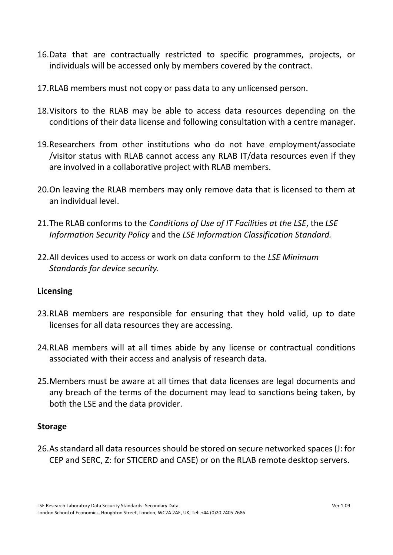- 16.Data that are contractually restricted to specific programmes, projects, or individuals will be accessed only by members covered by the contract.
- 17.RLAB members must not copy or pass data to any unlicensed person.
- 18.Visitors to the RLAB may be able to access data resources depending on the conditions of their data license and following consultation with a centre manager.
- 19.Researchers from other institutions who do not have employment/associate /visitor status with RLAB cannot access any RLAB IT/data resources even if they are involved in a collaborative project with RLAB members.
- 20.On leaving the RLAB members may only remove data that is licensed to them at an individual level.
- 21.The RLAB conforms to the *Conditions of Use of IT Facilities at the LSE*, the *LSE Information Security Policy* and the *LSE Information Classification Standard.*
- 22.All devices used to access or work on data conform to the *LSE Minimum Standards for device security.*

#### **Licensing**

- 23.RLAB members are responsible for ensuring that they hold valid, up to date licenses for all data resources they are accessing.
- 24.RLAB members will at all times abide by any license or contractual conditions associated with their access and analysis of research data.
- 25.Members must be aware at all times that data licenses are legal documents and any breach of the terms of the document may lead to sanctions being taken, by both the LSE and the data provider.

#### **Storage**

26.As standard all data resources should be stored on secure networked spaces (J: for CEP and SERC, Z: for STICERD and CASE) or on the RLAB remote desktop servers.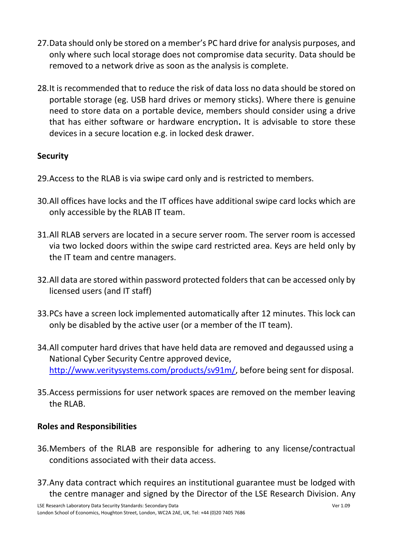- 27.Data should only be stored on a member's PC hard drive for analysis purposes, and only where such local storage does not compromise data security. Data should be removed to a network drive as soon as the analysis is complete.
- 28.It is recommended that to reduce the risk of data loss no data should be stored on portable storage (eg. USB hard drives or memory sticks). Where there is genuine need to store data on a portable device, members should consider using a drive that has either software or hardware encryption**.** It is advisable to store these devices in a secure location e.g. in locked desk drawer.

# **Security**

- 29.Access to the RLAB is via swipe card only and is restricted to members.
- 30.All offices have locks and the IT offices have additional swipe card locks which are only accessible by the RLAB IT team.
- 31.All RLAB servers are located in a secure server room. The server room is accessed via two locked doors within the swipe card restricted area. Keys are held only by the IT team and centre managers.
- 32.All data are stored within password protected folders that can be accessed only by licensed users (and IT staff)
- 33.PCs have a screen lock implemented automatically after 12 minutes. This lock can only be disabled by the active user (or a member of the IT team).
- 34.All computer hard drives that have held data are removed and degaussed using a National Cyber Security Centre approved device, [http://www.veritysystems.com/products/sv91m/,](http://www.veritysystems.com/products/sv91m/) before being sent for disposal.
- 35.Access permissions for user network spaces are removed on the member leaving the RLAB.

## **Roles and Responsibilities**

- 36.Members of the RLAB are responsible for adhering to any license/contractual conditions associated with their data access.
- 37.Any data contract which requires an institutional guarantee must be lodged with the centre manager and signed by the Director of the LSE Research Division. Any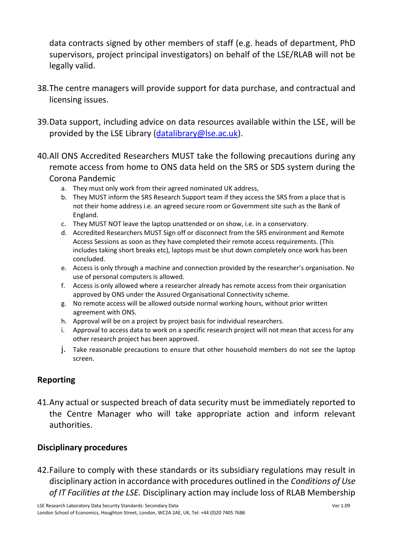data contracts signed by other members of staff (e.g. heads of department, PhD supervisors, project principal investigators) on behalf of the LSE/RLAB will not be legally valid.

- 38.The centre managers will provide support for data purchase, and contractual and licensing issues.
- 39.Data support, including advice on data resources available within the LSE, will be provided by the LSE Library [\(datalibrary@lse.ac.uk\)](mailto:datalibrary@lse.ac.uk).
- 40.All ONS Accredited Researchers MUST take the following precautions during any remote access from home to ONS data held on the SRS or SDS system during the Corona Pandemic
	- a. They must only work from their agreed nominated UK address,
	- b. They MUST inform the SRS Research Support team if they access the SRS from a place that is not their home address i.e. an agreed secure room or Government site such as the Bank of England.
	- c. They MUST NOT leave the laptop unattended or on show, i.e. in a conservatory.
	- d. Accredited Researchers MUST Sign off or disconnect from the SRS environment and Remote Access Sessions as soon as they have completed their remote access requirements. (This includes taking short breaks etc), laptops must be shut down completely once work has been concluded.
	- e. Access is only through a machine and connection provided by the researcher's organisation. No use of personal computers is allowed.
	- f. Access is only allowed where a researcher already has remote access from their organisation approved by ONS under the Assured Organisational Connectivity scheme.
	- g. No remote access will be allowed outside normal working hours, without prior written agreement with ONS.
	- h. Approval will be on a project by project basis for individual researchers.
	- i. Approval to access data to work on a specific research project will not mean that access for any other research project has been approved.
	- j. Take reasonable precautions to ensure that other household members do not see the laptop screen.

# **Reporting**

41.Any actual or suspected breach of data security must be immediately reported to the Centre Manager who will take appropriate action and inform relevant authorities.

## **Disciplinary procedures**

42.Failure to comply with these standards or its subsidiary regulations may result in disciplinary action in accordance with procedures outlined in the *Conditions of Use of IT Facilities at the LSE.* Disciplinary action may include loss of RLAB Membership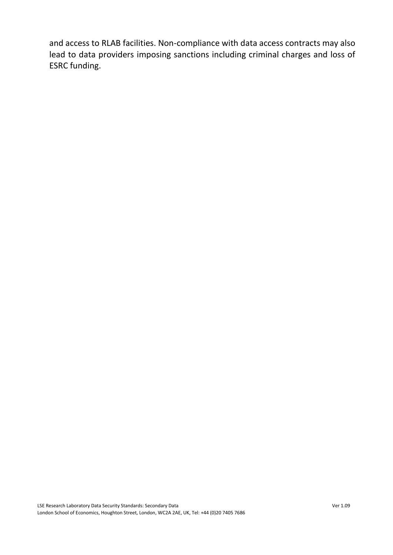and access to RLAB facilities. Non-compliance with data access contracts may also lead to data providers imposing sanctions including criminal charges and loss of ESRC funding.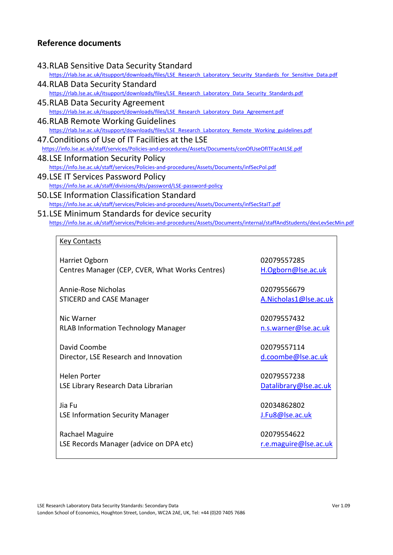#### **Reference documents**

#### 43.RLAB Sensitive Data Security Standard

[https://rlab.lse.ac.uk/itsupport/downloads/files/LSE\\_Research\\_Laboratory\\_Security\\_Standards\\_for\\_Sensitive\\_Data.pdf](https://rlab.lse.ac.uk/itsupport/downloads/files/LSE_Research_Laboratory_Security_Standards_for_Sensitive_Data.pdf)

- 44.RLAB Data Security Standard [https://rlab.lse.ac.uk/itsupport/downloads/files/LSE\\_Research\\_Laboratory\\_Data\\_Security\\_Standards.pdf](https://rlab.lse.ac.uk/itsupport/downloads/files/LSE_Research_Laboratory_Data_Security_Standards.pdf)
- 45.RLAB Data Security Agreement [https://rlab.lse.ac.uk/itsupport/downloads/files/LSE\\_Research\\_Laboratory\\_Data\\_Agreement.pdf](https://rlab.lse.ac.uk/itsupport/downloads/files/LSE_Research_Laboratory_Data_Agreement.pdf)
- 46.RLAB Remote Working Guidelines [https://rlab.lse.ac.uk/itsupport/downloads/files/LSE\\_Research\\_Laboratory\\_Remote\\_Working\\_guidelines.pdf](https://rlab.lse.ac.uk/itsupport/downloads/files/LSE_Research_Laboratory_Remote_Working_guidelines.pdf)
- 47.Conditions of Use of IT Facilities at the LSE <https://info.lse.ac.uk/staff/services/Policies-and-procedures/Assets/Documents/conOfUseOfITFacAtLSE.pdf>
- 48.LSE Information Security Policy <https://info.lse.ac.uk/staff/services/Policies-and-procedures/Assets/Documents/infSecPol.pdf>
- 49.LSE IT Services Password Policy <https://info.lse.ac.uk/staff/divisions/dts/password/LSE-password-policy>
- 50.LSE Information Classification Standard <https://info.lse.ac.uk/staff/services/Policies-and-procedures/Assets/Documents/infSecStaIT.pdf>
- 51.LSE Minimum Standards for device security <https://info.lse.ac.uk/staff/services/Policies-and-procedures/Assets/Documents/internal/staffAndStudents/devLevSecMin.pdf>

#### Key Contacts

Harriet Ogborn Centres Manager (CEP, CVER, What Works Centres)

Annie-Rose Nicholas STICERD and CASE Manager

Nic Warner RLAB Information Technology Manager

David Coombe Director, LSE Research and Innovation

Helen Porter LSE Library Research Data Librarian

Jia Fu LSE Information Security Manager

Rachael Maguire LSE Records Manager (advice on DPA etc) 02079557285 [H.Ogborn@lse.ac.uk](mailto:H.Ogborn@lse.ac.uk)

02079556679 [A.Nicholas1@lse.ac.uk](mailto:A.Nicholas1@lse.ac.uk)

02079557432 [n.s.warner@lse.ac.uk](mailto:n.s.warner@lse.ac.uk)

02079557114 [d.coombe@lse.ac.uk](mailto:d.coombe@lse.ac.uk)

02079557238 [Datalibrary@lse.ac.uk](mailto:Datalibrary@lse.ac.uk)

02034862802 [J.Fu8@lse.ac.uk](mailto:J.Fu8@lse.ac.uk)

02079554622 [r.e.maguire@lse.ac.uk](mailto:r.e.maguire@lse.ac.uk)